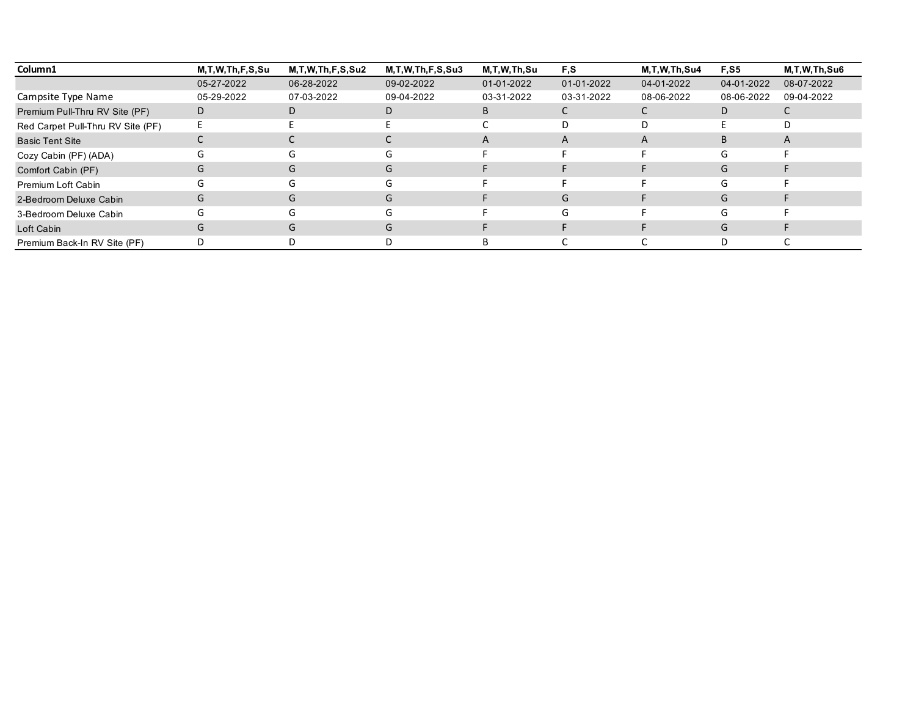| Column1                           | M,T,W,Th,F,S,Su | M, T, W, Th, F, S, Su2 | M, T, W, Th, F, S, Su3 | M,T,W,Th,Su | F,S        | M.T.W.Th.Su4 | <b>F.S5</b> | M.T.W.Th.Su6 |
|-----------------------------------|-----------------|------------------------|------------------------|-------------|------------|--------------|-------------|--------------|
|                                   | 05-27-2022      | 06-28-2022             | 09-02-2022             | 01-01-2022  | 01-01-2022 | 04-01-2022   | 04-01-2022  | 08-07-2022   |
| Campsite Type Name                | 05-29-2022      | 07-03-2022             | 09-04-2022             | 03-31-2022  | 03-31-2022 | 08-06-2022   | 08-06-2022  | 09-04-2022   |
| Premium Pull-Thru RV Site (PF)    | D               | D                      | D.                     | B           |            |              | D           |              |
| Red Carpet Pull-Thru RV Site (PF) |                 |                        |                        |             | D          | D            |             |              |
| <b>Basic Tent Site</b>            |                 |                        |                        | A           | A          | A            | B           | A            |
| Cozy Cabin (PF) (ADA)             | G               | G                      | ί٦.                    |             |            |              | G           |              |
| Comfort Cabin (PF)                | G               | G                      | G                      |             |            |              | G           |              |
| Premium Loft Cabin                |                 | G                      |                        |             |            |              | G           |              |
| 2-Bedroom Deluxe Cabin            | G               | G                      | G                      |             | G          |              | G           |              |
| 3-Bedroom Deluxe Cabin            |                 | G                      | G                      |             | G          |              | G           |              |
| Loft Cabin                        | G               | G                      | G                      |             |            |              | G           |              |
| Premium Back-In RV Site (PF)      |                 |                        | D                      | B           |            |              | D           |              |